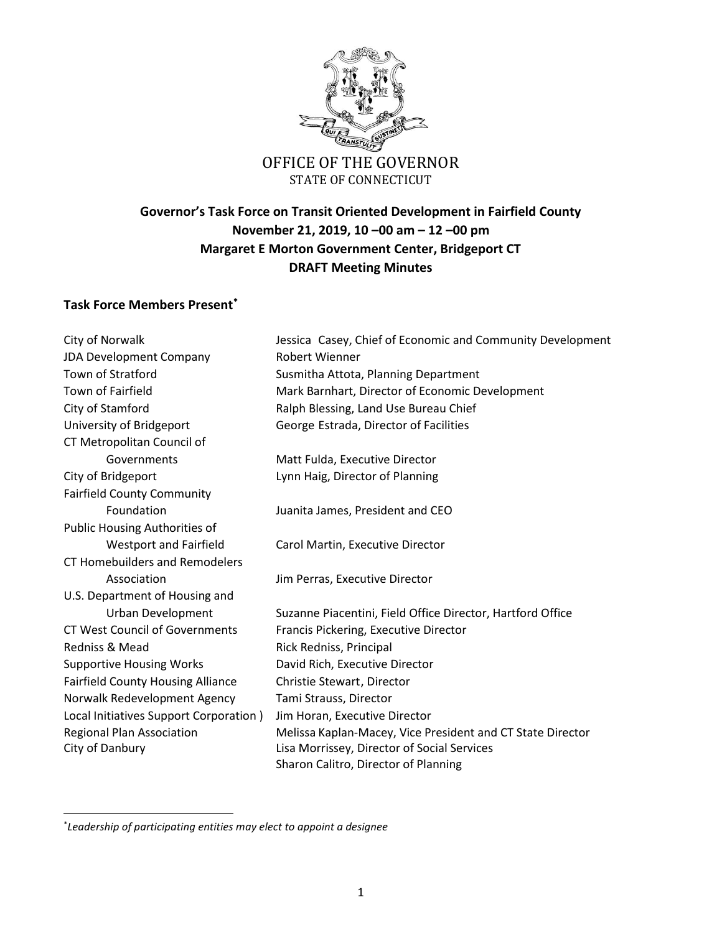

STATE OF CONNECTICUT

# **Governor's Task Force on Transit Oriented Development in Fairfield County November 21, 2019, 10 –00 am – 12 –00 pm Margaret E Morton Government Center, Bridgeport CT DRAFT Meeting Minutes**

### **Task Force Members Present\***

| City of Norwalk                          | Jessica Casey, Chief of Economic and Community Development |
|------------------------------------------|------------------------------------------------------------|
| JDA Development Company                  | <b>Robert Wienner</b>                                      |
| Town of Stratford                        | Susmitha Attota, Planning Department                       |
| Town of Fairfield                        | Mark Barnhart, Director of Economic Development            |
| City of Stamford                         | Ralph Blessing, Land Use Bureau Chief                      |
| University of Bridgeport                 | George Estrada, Director of Facilities                     |
| CT Metropolitan Council of               |                                                            |
| Governments                              | Matt Fulda, Executive Director                             |
| City of Bridgeport                       | Lynn Haig, Director of Planning                            |
| <b>Fairfield County Community</b>        |                                                            |
| Foundation                               | Juanita James, President and CEO                           |
| <b>Public Housing Authorities of</b>     |                                                            |
| <b>Westport and Fairfield</b>            | Carol Martin, Executive Director                           |
| <b>CT Homebuilders and Remodelers</b>    |                                                            |
| Association                              | Jim Perras, Executive Director                             |
| U.S. Department of Housing and           |                                                            |
| Urban Development                        | Suzanne Piacentini, Field Office Director, Hartford Office |
| <b>CT West Council of Governments</b>    | Francis Pickering, Executive Director                      |
| Redniss & Mead                           | Rick Redniss, Principal                                    |
| <b>Supportive Housing Works</b>          | David Rich, Executive Director                             |
| <b>Fairfield County Housing Alliance</b> | Christie Stewart, Director                                 |
| Norwalk Redevelopment Agency             | Tami Strauss, Director                                     |
| Local Initiatives Support Corporation)   | Jim Horan, Executive Director                              |
| <b>Regional Plan Association</b>         | Melissa Kaplan-Macey, Vice President and CT State Director |
| City of Danbury                          | Lisa Morrissey, Director of Social Services                |
|                                          | Sharon Calitro, Director of Planning                       |

\* *Leadership of participating entities may elect to appoint a designee*

 $\overline{\phantom{a}}$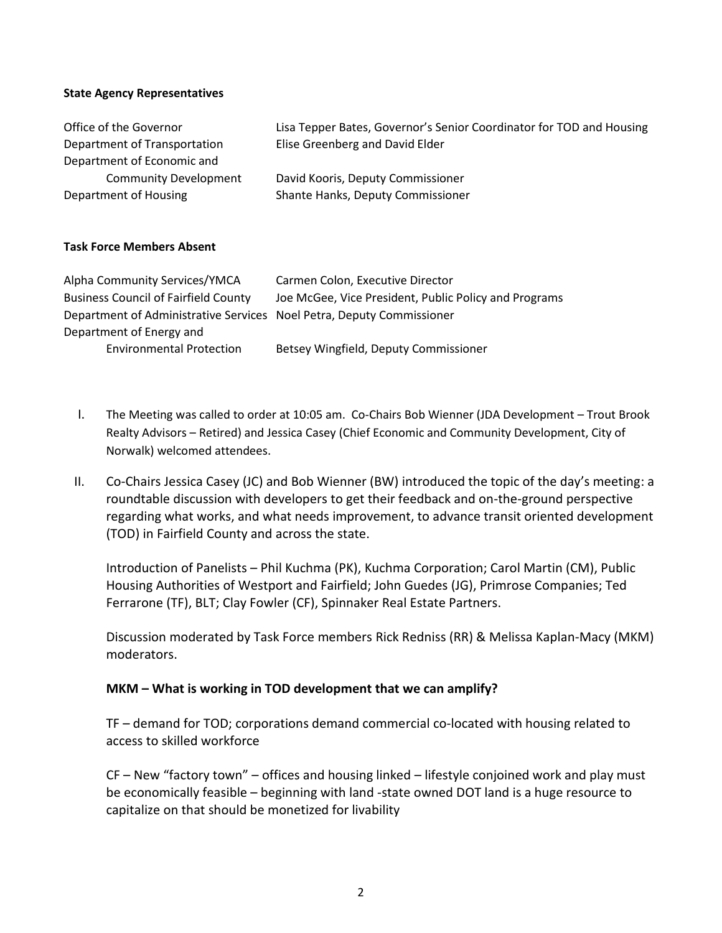#### **State Agency Representatives**

| Office of the Governor       | Lisa Tepper Bates, Governor's Senior Coordinator for TOD and Housing |
|------------------------------|----------------------------------------------------------------------|
| Department of Transportation | Elise Greenberg and David Elder                                      |
| Department of Economic and   |                                                                      |
| <b>Community Development</b> | David Kooris, Deputy Commissioner                                    |
| Department of Housing        | Shante Hanks, Deputy Commissioner                                    |

#### **Task Force Members Absent**

| Alpha Community Services/YMCA                                         | Carmen Colon, Executive Director                      |
|-----------------------------------------------------------------------|-------------------------------------------------------|
| <b>Business Council of Fairfield County</b>                           | Joe McGee, Vice President, Public Policy and Programs |
| Department of Administrative Services Noel Petra, Deputy Commissioner |                                                       |
| Department of Energy and                                              |                                                       |
| <b>Environmental Protection</b>                                       | Betsey Wingfield, Deputy Commissioner                 |

- I. The Meeting was called to order at 10:05 am. Co-Chairs Bob Wienner (JDA Development Trout Brook Realty Advisors – Retired) and Jessica Casey (Chief Economic and Community Development, City of Norwalk) welcomed attendees.
- II. Co-Chairs Jessica Casey (JC) and Bob Wienner (BW) introduced the topic of the day's meeting: a roundtable discussion with developers to get their feedback and on-the-ground perspective regarding what works, and what needs improvement, to advance transit oriented development (TOD) in Fairfield County and across the state.

Introduction of Panelists – Phil Kuchma (PK), Kuchma Corporation; Carol Martin (CM), Public Housing Authorities of Westport and Fairfield; John Guedes (JG), Primrose Companies; Ted Ferrarone (TF), BLT; Clay Fowler (CF), Spinnaker Real Estate Partners.

Discussion moderated by Task Force members Rick Redniss (RR) & Melissa Kaplan-Macy (MKM) moderators.

#### **MKM – What is working in TOD development that we can amplify?**

TF – demand for TOD; corporations demand commercial co-located with housing related to access to skilled workforce

CF – New "factory town" – offices and housing linked – lifestyle conjoined work and play must be economically feasible – beginning with land -state owned DOT land is a huge resource to capitalize on that should be monetized for livability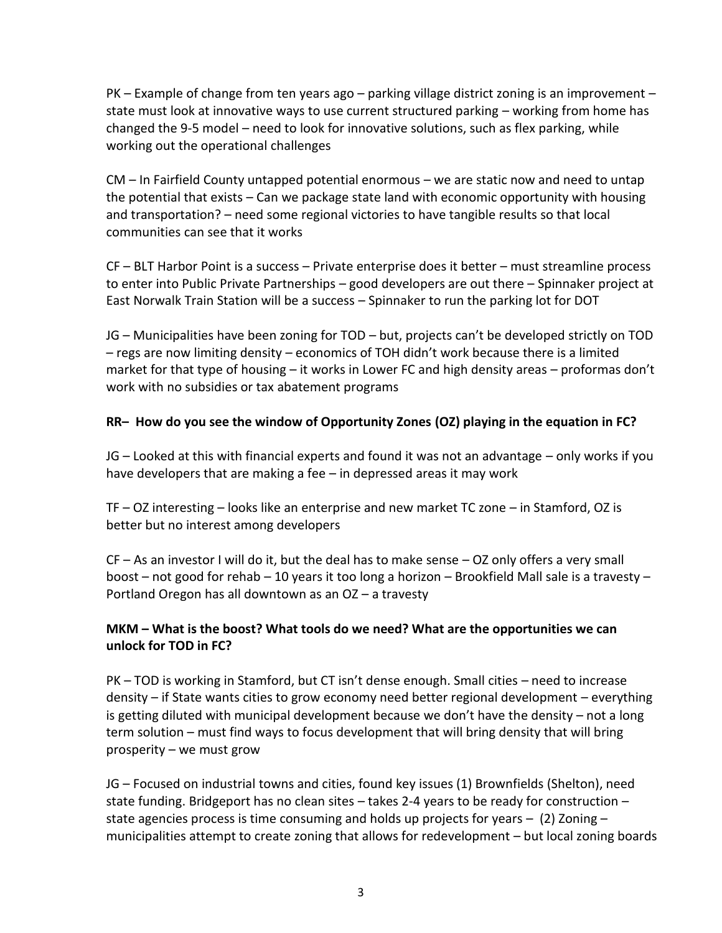PK – Example of change from ten years ago – parking village district zoning is an improvement – state must look at innovative ways to use current structured parking – working from home has changed the 9-5 model – need to look for innovative solutions, such as flex parking, while working out the operational challenges

CM – In Fairfield County untapped potential enormous – we are static now and need to untap the potential that exists – Can we package state land with economic opportunity with housing and transportation? – need some regional victories to have tangible results so that local communities can see that it works

CF – BLT Harbor Point is a success – Private enterprise does it better – must streamline process to enter into Public Private Partnerships – good developers are out there – Spinnaker project at East Norwalk Train Station will be a success – Spinnaker to run the parking lot for DOT

JG – Municipalities have been zoning for TOD – but, projects can't be developed strictly on TOD – regs are now limiting density – economics of TOH didn't work because there is a limited market for that type of housing – it works in Lower FC and high density areas – proformas don't work with no subsidies or tax abatement programs

# **RR– How do you see the window of Opportunity Zones (OZ) playing in the equation in FC?**

JG – Looked at this with financial experts and found it was not an advantage – only works if you have developers that are making a fee – in depressed areas it may work

TF – OZ interesting – looks like an enterprise and new market TC zone – in Stamford, OZ is better but no interest among developers

CF – As an investor I will do it, but the deal has to make sense – OZ only offers a very small boost – not good for rehab – 10 years it too long a horizon – Brookfield Mall sale is a travesty – Portland Oregon has all downtown as an OZ – a travesty

## **MKM – What is the boost? What tools do we need? What are the opportunities we can unlock for TOD in FC?**

PK – TOD is working in Stamford, but CT isn't dense enough. Small cities – need to increase density – if State wants cities to grow economy need better regional development – everything is getting diluted with municipal development because we don't have the density – not a long term solution – must find ways to focus development that will bring density that will bring prosperity – we must grow

JG – Focused on industrial towns and cities, found key issues (1) Brownfields (Shelton), need state funding. Bridgeport has no clean sites – takes 2-4 years to be ready for construction – state agencies process is time consuming and holds up projects for years  $-$  (2) Zoning  $$ municipalities attempt to create zoning that allows for redevelopment – but local zoning boards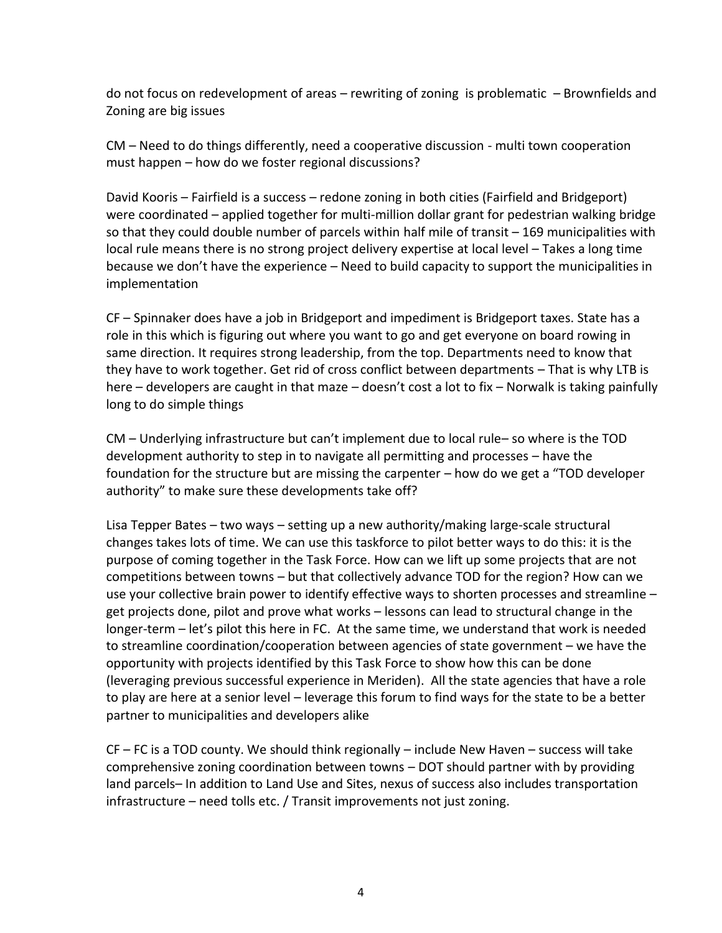do not focus on redevelopment of areas – rewriting of zoning is problematic – Brownfields and Zoning are big issues

CM – Need to do things differently, need a cooperative discussion - multi town cooperation must happen – how do we foster regional discussions?

David Kooris – Fairfield is a success – redone zoning in both cities (Fairfield and Bridgeport) were coordinated – applied together for multi-million dollar grant for pedestrian walking bridge so that they could double number of parcels within half mile of transit – 169 municipalities with local rule means there is no strong project delivery expertise at local level – Takes a long time because we don't have the experience – Need to build capacity to support the municipalities in implementation

CF – Spinnaker does have a job in Bridgeport and impediment is Bridgeport taxes. State has a role in this which is figuring out where you want to go and get everyone on board rowing in same direction. It requires strong leadership, from the top. Departments need to know that they have to work together. Get rid of cross conflict between departments – That is why LTB is here – developers are caught in that maze – doesn't cost a lot to fix – Norwalk is taking painfully long to do simple things

CM – Underlying infrastructure but can't implement due to local rule– so where is the TOD development authority to step in to navigate all permitting and processes – have the foundation for the structure but are missing the carpenter – how do we get a "TOD developer authority" to make sure these developments take off?

Lisa Tepper Bates – two ways – setting up a new authority/making large-scale structural changes takes lots of time. We can use this taskforce to pilot better ways to do this: it is the purpose of coming together in the Task Force. How can we lift up some projects that are not competitions between towns – but that collectively advance TOD for the region? How can we use your collective brain power to identify effective ways to shorten processes and streamline – get projects done, pilot and prove what works – lessons can lead to structural change in the longer-term – let's pilot this here in FC. At the same time, we understand that work is needed to streamline coordination/cooperation between agencies of state government – we have the opportunity with projects identified by this Task Force to show how this can be done (leveraging previous successful experience in Meriden). All the state agencies that have a role to play are here at a senior level – leverage this forum to find ways for the state to be a better partner to municipalities and developers alike

CF – FC is a TOD county. We should think regionally – include New Haven – success will take comprehensive zoning coordination between towns – DOT should partner with by providing land parcels– In addition to Land Use and Sites, nexus of success also includes transportation infrastructure – need tolls etc. / Transit improvements not just zoning.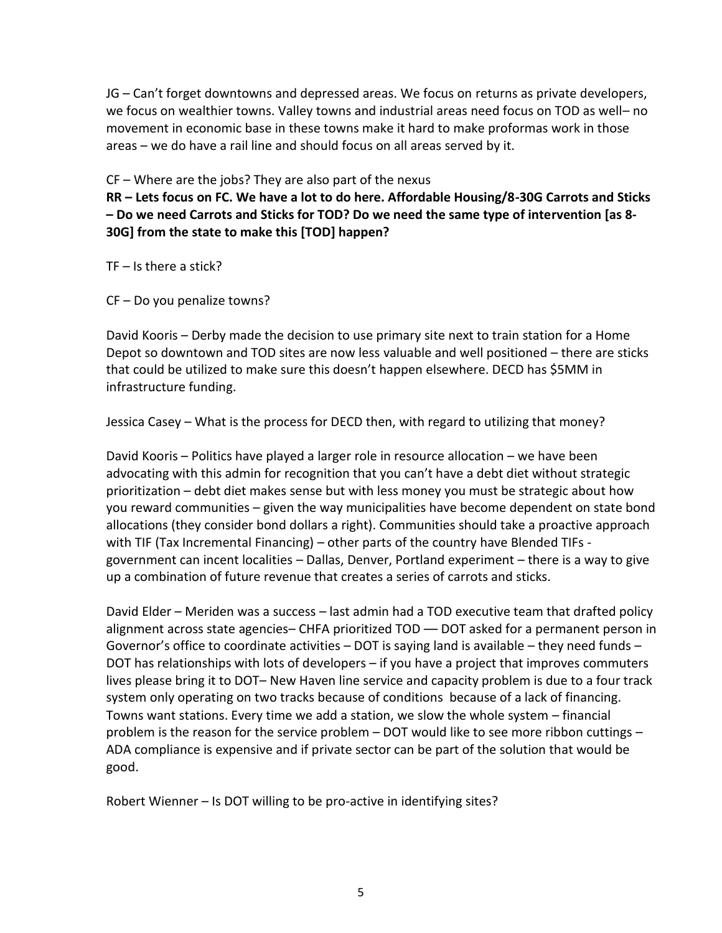JG – Can't forget downtowns and depressed areas. We focus on returns as private developers, we focus on wealthier towns. Valley towns and industrial areas need focus on TOD as well– no movement in economic base in these towns make it hard to make proformas work in those areas – we do have a rail line and should focus on all areas served by it.

CF – Where are the jobs? They are also part of the nexus

**RR – Lets focus on FC. We have a lot to do here. Affordable Housing/8-30G Carrots and Sticks – Do we need Carrots and Sticks for TOD? Do we need the same type of intervention [as 8- 30G] from the state to make this [TOD] happen?**

 $TF - Is there a stick?$ 

CF – Do you penalize towns?

David Kooris – Derby made the decision to use primary site next to train station for a Home Depot so downtown and TOD sites are now less valuable and well positioned – there are sticks that could be utilized to make sure this doesn't happen elsewhere. DECD has \$5MM in infrastructure funding.

Jessica Casey – What is the process for DECD then, with regard to utilizing that money?

David Kooris – Politics have played a larger role in resource allocation – we have been advocating with this admin for recognition that you can't have a debt diet without strategic prioritization – debt diet makes sense but with less money you must be strategic about how you reward communities – given the way municipalities have become dependent on state bond allocations (they consider bond dollars a right). Communities should take a proactive approach with TIF (Tax Incremental Financing) – other parts of the country have Blended TIFs government can incent localities – Dallas, Denver, Portland experiment – there is a way to give up a combination of future revenue that creates a series of carrots and sticks.

David Elder – Meriden was a success – last admin had a TOD executive team that drafted policy alignment across state agencies– CHFA prioritized TOD –– DOT asked for a permanent person in Governor's office to coordinate activities – DOT is saying land is available – they need funds – DOT has relationships with lots of developers – if you have a project that improves commuters lives please bring it to DOT– New Haven line service and capacity problem is due to a four track system only operating on two tracks because of conditions because of a lack of financing. Towns want stations. Every time we add a station, we slow the whole system – financial problem is the reason for the service problem – DOT would like to see more ribbon cuttings – ADA compliance is expensive and if private sector can be part of the solution that would be good.

Robert Wienner – Is DOT willing to be pro-active in identifying sites?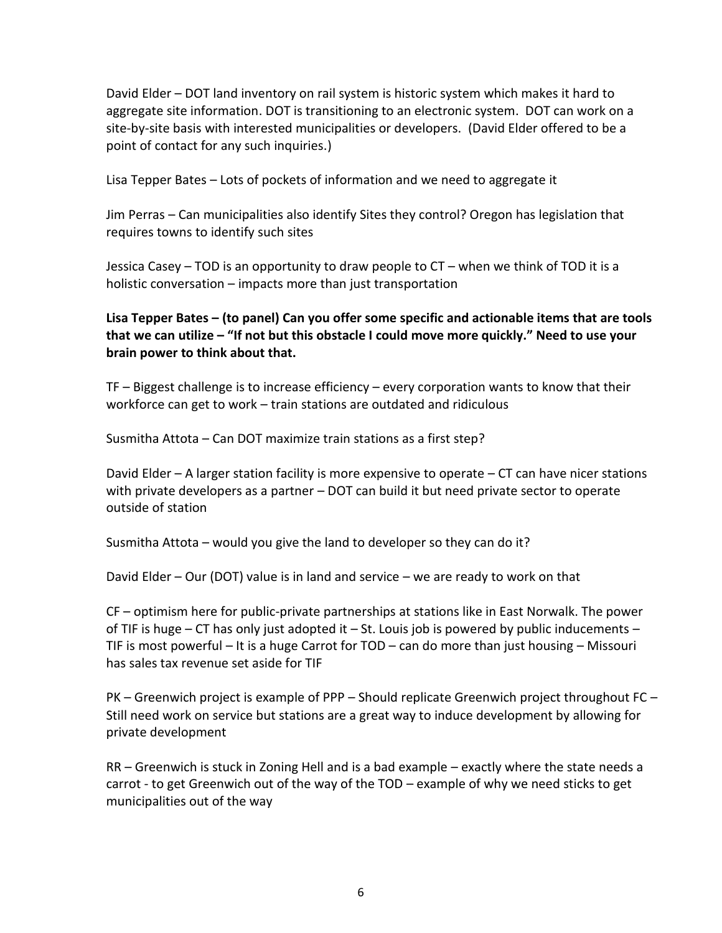David Elder – DOT land inventory on rail system is historic system which makes it hard to aggregate site information. DOT is transitioning to an electronic system. DOT can work on a site-by-site basis with interested municipalities or developers. (David Elder offered to be a point of contact for any such inquiries.)

Lisa Tepper Bates – Lots of pockets of information and we need to aggregate it

Jim Perras – Can municipalities also identify Sites they control? Oregon has legislation that requires towns to identify such sites

Jessica Casey – TOD is an opportunity to draw people to CT – when we think of TOD it is a holistic conversation – impacts more than just transportation

**Lisa Tepper Bates – (to panel) Can you offer some specific and actionable items that are tools that we can utilize – "If not but this obstacle I could move more quickly." Need to use your brain power to think about that.**

TF – Biggest challenge is to increase efficiency – every corporation wants to know that their workforce can get to work – train stations are outdated and ridiculous

Susmitha Attota – Can DOT maximize train stations as a first step?

David Elder – A larger station facility is more expensive to operate – CT can have nicer stations with private developers as a partner – DOT can build it but need private sector to operate outside of station

Susmitha Attota – would you give the land to developer so they can do it?

David Elder – Our (DOT) value is in land and service – we are ready to work on that

CF – optimism here for public-private partnerships at stations like in East Norwalk. The power of TIF is huge – CT has only just adopted it – St. Louis job is powered by public inducements – TIF is most powerful – It is a huge Carrot for TOD – can do more than just housing – Missouri has sales tax revenue set aside for TIF

PK – Greenwich project is example of PPP – Should replicate Greenwich project throughout FC – Still need work on service but stations are a great way to induce development by allowing for private development

RR – Greenwich is stuck in Zoning Hell and is a bad example – exactly where the state needs a carrot - to get Greenwich out of the way of the TOD – example of why we need sticks to get municipalities out of the way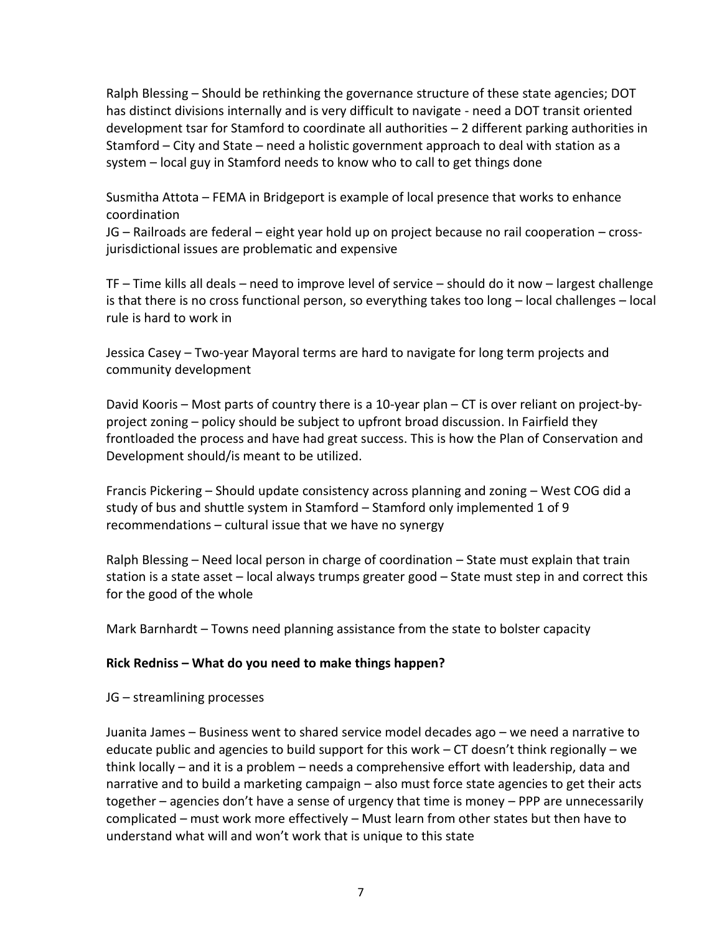Ralph Blessing – Should be rethinking the governance structure of these state agencies; DOT has distinct divisions internally and is very difficult to navigate - need a DOT transit oriented development tsar for Stamford to coordinate all authorities – 2 different parking authorities in Stamford – City and State – need a holistic government approach to deal with station as a system – local guy in Stamford needs to know who to call to get things done

Susmitha Attota – FEMA in Bridgeport is example of local presence that works to enhance coordination

JG – Railroads are federal – eight year hold up on project because no rail cooperation – crossjurisdictional issues are problematic and expensive

TF – Time kills all deals – need to improve level of service – should do it now – largest challenge is that there is no cross functional person, so everything takes too long – local challenges – local rule is hard to work in

Jessica Casey – Two-year Mayoral terms are hard to navigate for long term projects and community development

David Kooris – Most parts of country there is a 10-year plan – CT is over reliant on project-byproject zoning – policy should be subject to upfront broad discussion. In Fairfield they frontloaded the process and have had great success. This is how the Plan of Conservation and Development should/is meant to be utilized.

Francis Pickering – Should update consistency across planning and zoning – West COG did a study of bus and shuttle system in Stamford – Stamford only implemented 1 of 9 recommendations – cultural issue that we have no synergy

Ralph Blessing – Need local person in charge of coordination – State must explain that train station is a state asset – local always trumps greater good – State must step in and correct this for the good of the whole

Mark Barnhardt – Towns need planning assistance from the state to bolster capacity

#### **Rick Redniss – What do you need to make things happen?**

JG – streamlining processes

Juanita James – Business went to shared service model decades ago – we need a narrative to educate public and agencies to build support for this work – CT doesn't think regionally – we think locally – and it is a problem – needs a comprehensive effort with leadership, data and narrative and to build a marketing campaign – also must force state agencies to get their acts together – agencies don't have a sense of urgency that time is money – PPP are unnecessarily complicated – must work more effectively – Must learn from other states but then have to understand what will and won't work that is unique to this state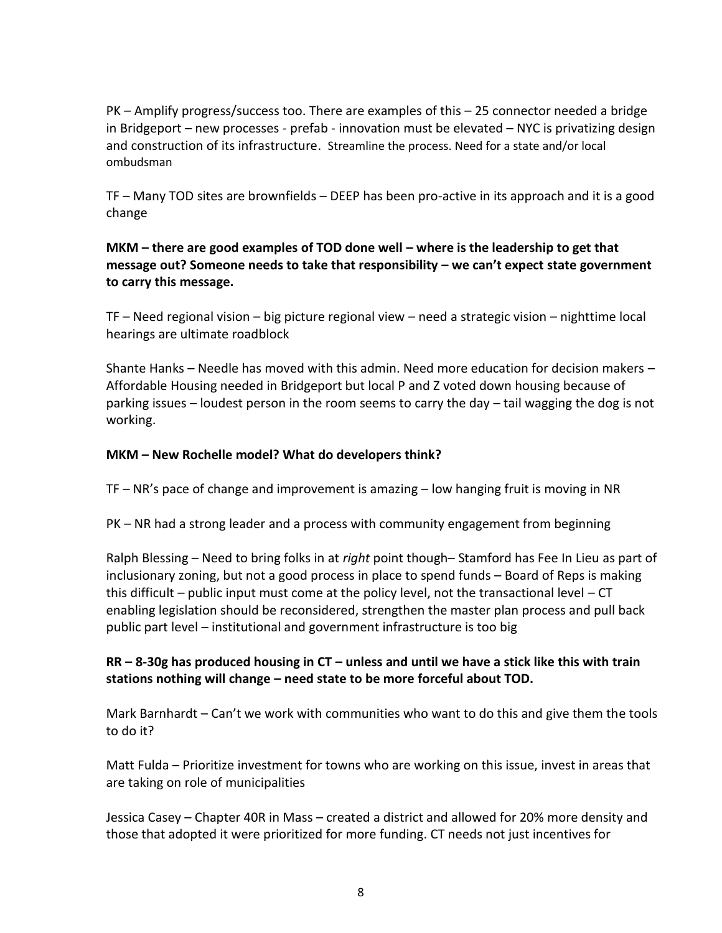PK – Amplify progress/success too. There are examples of this – 25 connector needed a bridge in Bridgeport – new processes - prefab - innovation must be elevated – NYC is privatizing design and construction of its infrastructure. Streamline the process. Need for a state and/or local ombudsman

TF – Many TOD sites are brownfields – DEEP has been pro-active in its approach and it is a good change

**MKM – there are good examples of TOD done well – where is the leadership to get that message out? Someone needs to take that responsibility – we can't expect state government to carry this message.**

TF – Need regional vision – big picture regional view – need a strategic vision – nighttime local hearings are ultimate roadblock

Shante Hanks – Needle has moved with this admin. Need more education for decision makers – Affordable Housing needed in Bridgeport but local P and Z voted down housing because of parking issues – loudest person in the room seems to carry the day – tail wagging the dog is not working.

### **MKM – New Rochelle model? What do developers think?**

TF – NR's pace of change and improvement is amazing – low hanging fruit is moving in NR

PK – NR had a strong leader and a process with community engagement from beginning

Ralph Blessing – Need to bring folks in at *right* point though– Stamford has Fee In Lieu as part of inclusionary zoning, but not a good process in place to spend funds – Board of Reps is making this difficult – public input must come at the policy level, not the transactional level – CT enabling legislation should be reconsidered, strengthen the master plan process and pull back public part level – institutional and government infrastructure is too big

## **RR – 8-30g has produced housing in CT – unless and until we have a stick like this with train stations nothing will change – need state to be more forceful about TOD.**

Mark Barnhardt – Can't we work with communities who want to do this and give them the tools to do it?

Matt Fulda – Prioritize investment for towns who are working on this issue, invest in areas that are taking on role of municipalities

Jessica Casey – Chapter 40R in Mass – created a district and allowed for 20% more density and those that adopted it were prioritized for more funding. CT needs not just incentives for